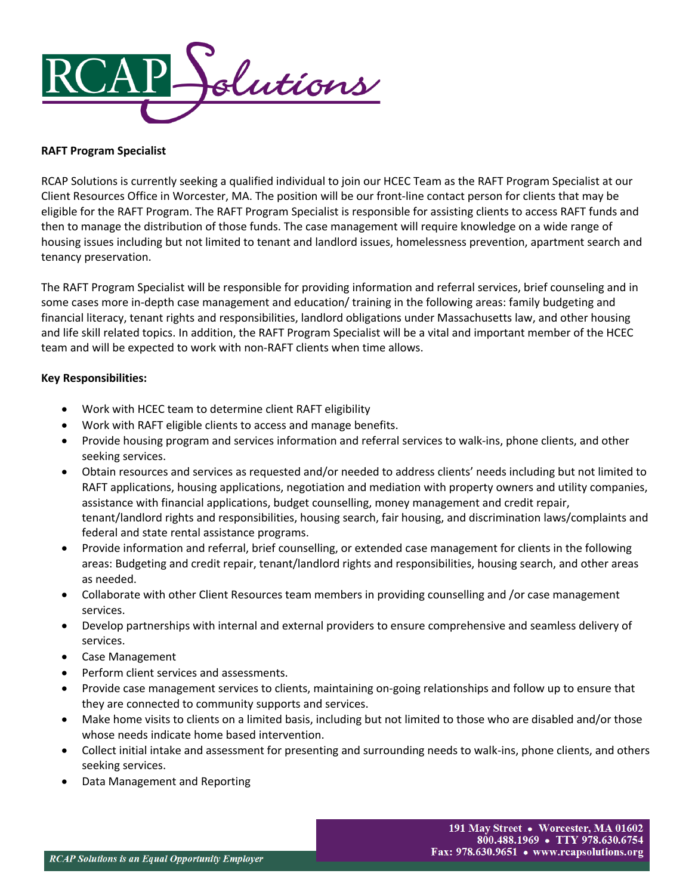

# **RAFT Program Specialist**

RCAP Solutions is currently seeking a qualified individual to join our HCEC Team as the RAFT Program Specialist at our Client Resources Office in Worcester, MA. The position will be our front-line contact person for clients that may be eligible for the RAFT Program. The RAFT Program Specialist is responsible for assisting clients to access RAFT funds and then to manage the distribution of those funds. The case management will require knowledge on a wide range of housing issues including but not limited to tenant and landlord issues, homelessness prevention, apartment search and tenancy preservation.

The RAFT Program Specialist will be responsible for providing information and referral services, brief counseling and in some cases more in-depth case management and education/ training in the following areas: family budgeting and financial literacy, tenant rights and responsibilities, landlord obligations under Massachusetts law, and other housing and life skill related topics. In addition, the RAFT Program Specialist will be a vital and important member of the HCEC team and will be expected to work with non-RAFT clients when time allows.

# **Key Responsibilities:**

- Work with HCEC team to determine client RAFT eligibility
- Work with RAFT eligible clients to access and manage benefits.
- Provide housing program and services information and referral services to walk-ins, phone clients, and other seeking services.
- Obtain resources and services as requested and/or needed to address clients' needs including but not limited to RAFT applications, housing applications, negotiation and mediation with property owners and utility companies, assistance with financial applications, budget counselling, money management and credit repair, tenant/landlord rights and responsibilities, housing search, fair housing, and discrimination laws/complaints and federal and state rental assistance programs.
- Provide information and referral, brief counselling, or extended case management for clients in the following areas: Budgeting and credit repair, tenant/landlord rights and responsibilities, housing search, and other areas as needed.
- Collaborate with other Client Resources team members in providing counselling and /or case management services.
- Develop partnerships with internal and external providers to ensure comprehensive and seamless delivery of services.
- Case Management
- Perform client services and assessments.
- Provide case management services to clients, maintaining on-going relationships and follow up to ensure that they are connected to community supports and services.
- Make home visits to clients on a limited basis, including but not limited to those who are disabled and/or those whose needs indicate home based intervention.
- Collect initial intake and assessment for presenting and surrounding needs to walk-ins, phone clients, and others seeking services.
- Data Management and Reporting